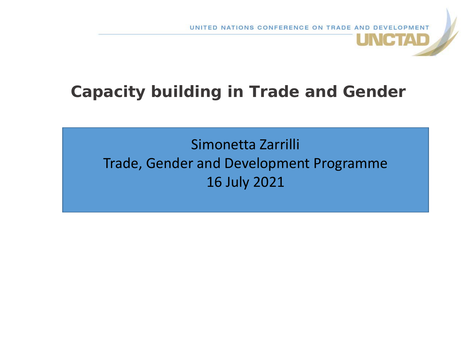**JNCTAD** 

## **Capacity building in Trade and Gender**

Simonetta Zarrilli Trade, Gender and Development Programme 16 July 2021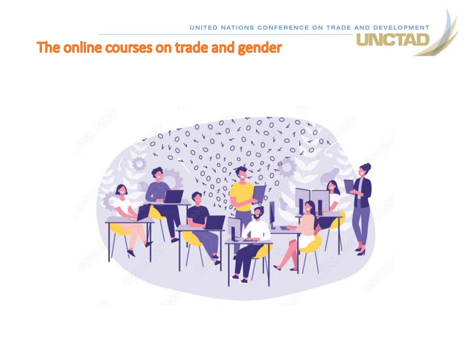ICTAD

## The online courses on trade and gender

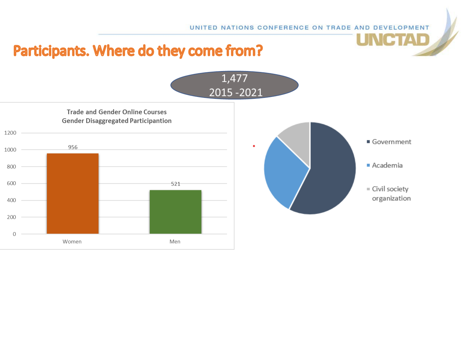**JNCTAD** 

## Participants. Where do they come from?

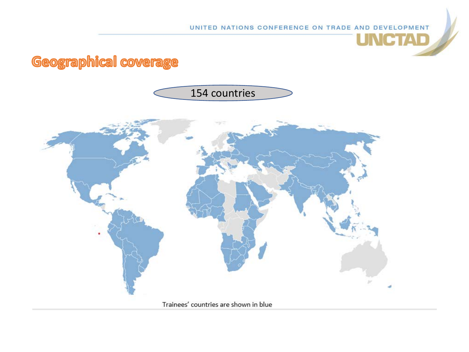**UNCTAD** 

## Geographical coverage

#### 154 countries

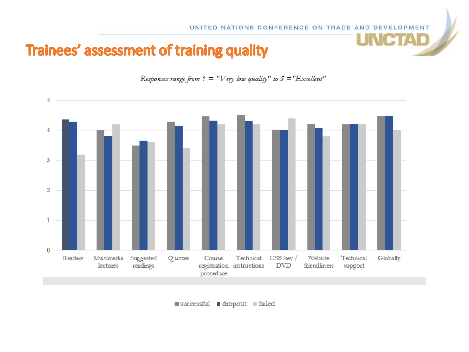**UNCTAD** 

## Trainees' assessment of training quality



Responses range from  $1 = "Very low quality"$  to  $5 = "External"$ 

successful dropout failed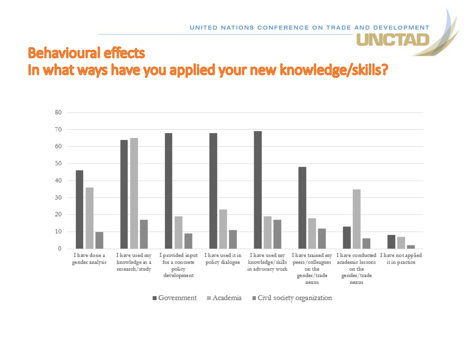#### **NCTAD Behavioural effects** In what ways have you applied your new knowledge/skills?



 $\blacksquare$  Government  $A$ cademia Civil society organization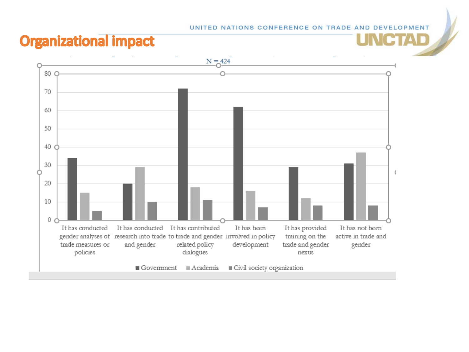CIAD

#### **Organizational impact**

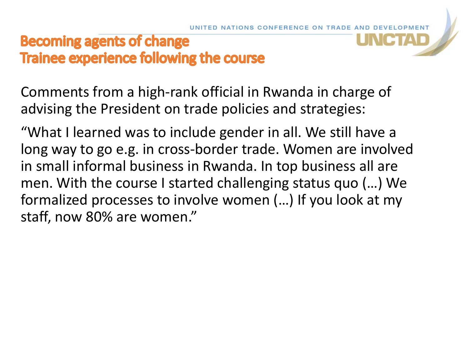#### **Becoming agents of change** Trainee experience following the course

Comments from a high-rank official in Rwanda in charge of advising the President on trade policies and strategies:

"What I learned was to include gender in all. We still have a long way to go e.g. in cross-border trade. Women are involved in small informal business in Rwanda. In top business all are men. With the course I started challenging status quo (…) We formalized processes to involve women (…) If you look at my staff, now 80% are women."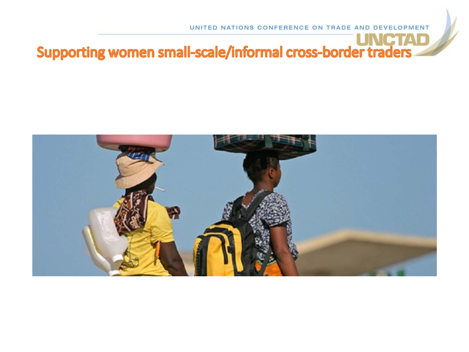# Supporting women small-scale/informal cross-border traders

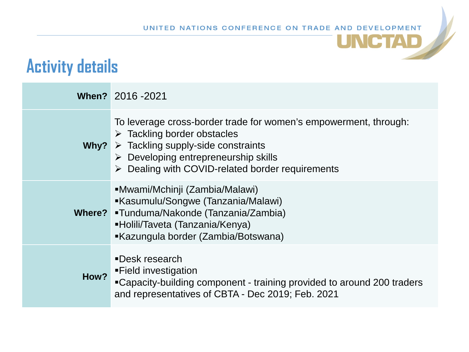**UNCTAD** 

# **Activity details**

|      | When? 2016 - 2021                                                                                                                                                                                                                                                                                  |
|------|----------------------------------------------------------------------------------------------------------------------------------------------------------------------------------------------------------------------------------------------------------------------------------------------------|
|      | To leverage cross-border trade for women's empowerment, through:<br>$\triangleright$ Tackling border obstacles<br>Why? $\triangleright$ Tackling supply-side constraints<br>$\triangleright$ Developing entrepreneurship skills<br>$\triangleright$ Dealing with COVID-related border requirements |
|      | ■Mwami/Mchinji (Zambia/Malawi)<br>■Kasumulu/Songwe (Tanzania/Malawi)<br>Where? •Tunduma/Nakonde (Tanzania/Zambia)<br>■Holili/Taveta (Tanzania/Kenya)<br>■Kazungula border (Zambia/Botswana)                                                                                                        |
| How? | <b>-Desk research</b><br>■Field investigation<br>"Capacity-building component - training provided to around 200 traders<br>and representatives of CBTA - Dec 2019; Feb. 2021                                                                                                                       |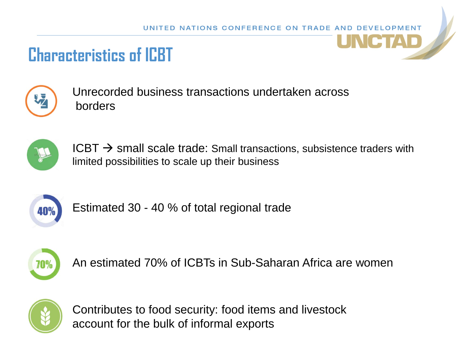# **Characteristics of ICBT**



Unrecorded business transactions undertaken across borders



 $ICBT \rightarrow$  small scale trade: Small transactions, subsistence traders with limited possibilities to scale up their business



Estimated 30 - 40 % of total regional trade



An estimated 70% of ICBTs in Sub-Saharan Africa are women



Contributes to food security: food items and livestock account for the bulk of informal exports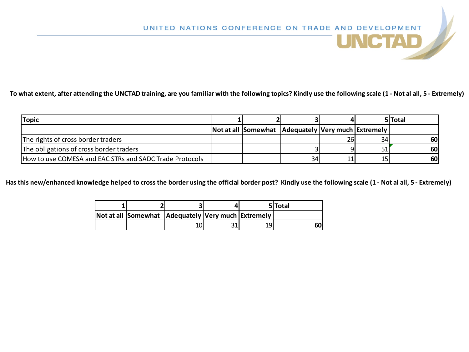**To what extent, after attending the UNCTAD training, are you familiar with the following topics? Kindly use the following scale (1 - Not al all, 5 - Extremely)**

| <b>Topic</b>                                            |                                                            |    |    | 5 Total    |
|---------------------------------------------------------|------------------------------------------------------------|----|----|------------|
|                                                         | Not at all   Somewhat   Adequately   Very much   Extremely |    |    |            |
| The rights of cross border traders                      |                                                            |    | 34 | <b>601</b> |
| The obligations of cross border traders                 |                                                            |    |    | <b>60</b>  |
| How to use COMESA and EAC STRs and SADC Trade Protocols |                                                            | 34 |    | 60         |

**Has this new/enhanced knowledge helped to cross the border using the official border post? Kindly use the following scale (1 - Not al all, 5 - Extremely)**

|                                                    |     |    | 5 Total |
|----------------------------------------------------|-----|----|---------|
| Not at all Somewhat Adequately Very much Extremely |     |    |         |
|                                                    | າ 1 | 19 | 601     |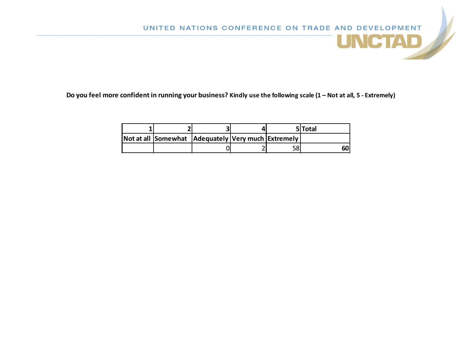**Do you feel more confident in running your business? Kindly use the following scale (1 – Not at all, 5 - Extremely)**

|  |                                                      |  | 5 Total |
|--|------------------------------------------------------|--|---------|
|  | Not at all Somewhat   Adequately Very much Extremely |  |         |
|  |                                                      |  | 60      |